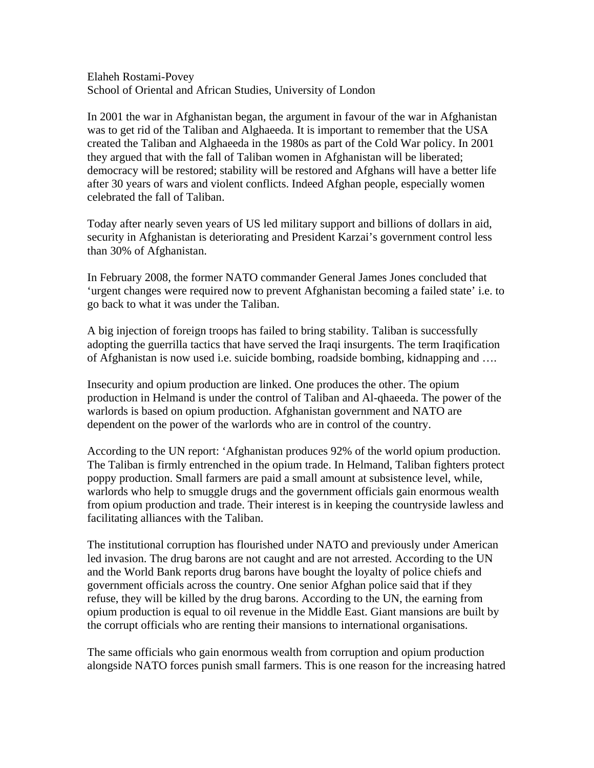Elaheh Rostami-Povey School of Oriental and African Studies, University of London

In 2001 the war in Afghanistan began, the argument in favour of the war in Afghanistan was to get rid of the Taliban and Alghaeeda. It is important to remember that the USA created the Taliban and Alghaeeda in the 1980s as part of the Cold War policy. In 2001 they argued that with the fall of Taliban women in Afghanistan will be liberated; democracy will be restored; stability will be restored and Afghans will have a better life after 30 years of wars and violent conflicts. Indeed Afghan people, especially women celebrated the fall of Taliban.

Today after nearly seven years of US led military support and billions of dollars in aid, security in Afghanistan is deteriorating and President Karzai's government control less than 30% of Afghanistan.

In February 2008, the former NATO commander General James Jones concluded that 'urgent changes were required now to prevent Afghanistan becoming a failed state' i.e. to go back to what it was under the Taliban.

A big injection of foreign troops has failed to bring stability. Taliban is successfully adopting the guerrilla tactics that have served the Iraqi insurgents. The term Iraqification of Afghanistan is now used i.e. suicide bombing, roadside bombing, kidnapping and ….

Insecurity and opium production are linked. One produces the other. The opium production in Helmand is under the control of Taliban and Al-qhaeeda. The power of the warlords is based on opium production. Afghanistan government and NATO are dependent on the power of the warlords who are in control of the country.

According to the UN report: 'Afghanistan produces 92% of the world opium production. The Taliban is firmly entrenched in the opium trade. In Helmand, Taliban fighters protect poppy production. Small farmers are paid a small amount at subsistence level, while, warlords who help to smuggle drugs and the government officials gain enormous wealth from opium production and trade. Their interest is in keeping the countryside lawless and facilitating alliances with the Taliban.

The institutional corruption has flourished under NATO and previously under American led invasion. The drug barons are not caught and are not arrested. According to the UN and the World Bank reports drug barons have bought the loyalty of police chiefs and government officials across the country. One senior Afghan police said that if they refuse, they will be killed by the drug barons. According to the UN, the earning from opium production is equal to oil revenue in the Middle East. Giant mansions are built by the corrupt officials who are renting their mansions to international organisations.

The same officials who gain enormous wealth from corruption and opium production alongside NATO forces punish small farmers. This is one reason for the increasing hatred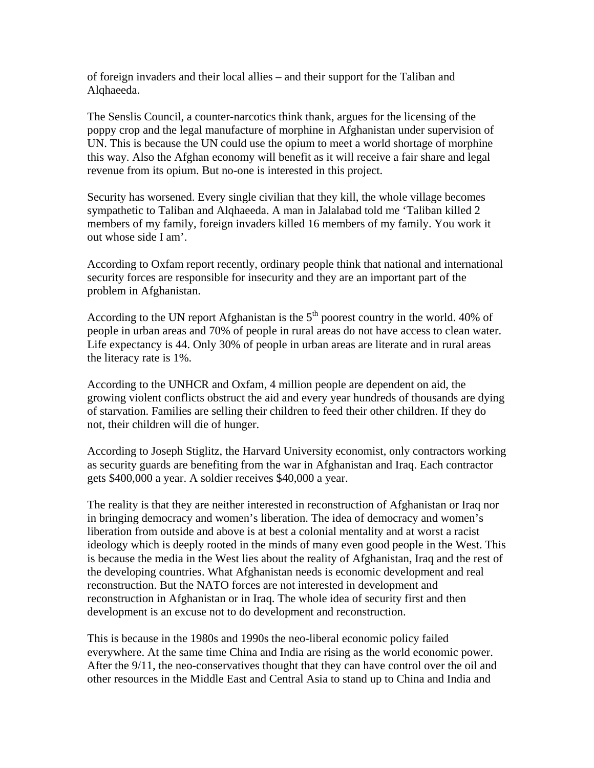of foreign invaders and their local allies – and their support for the Taliban and Alqhaeeda.

The Senslis Council, a counter-narcotics think thank, argues for the licensing of the poppy crop and the legal manufacture of morphine in Afghanistan under supervision of UN. This is because the UN could use the opium to meet a world shortage of morphine this way. Also the Afghan economy will benefit as it will receive a fair share and legal revenue from its opium. But no-one is interested in this project.

Security has worsened. Every single civilian that they kill, the whole village becomes sympathetic to Taliban and Alqhaeeda. A man in Jalalabad told me 'Taliban killed 2 members of my family, foreign invaders killed 16 members of my family. You work it out whose side I am'.

According to Oxfam report recently, ordinary people think that national and international security forces are responsible for insecurity and they are an important part of the problem in Afghanistan.

According to the UN report Afghanistan is the  $5<sup>th</sup>$  poorest country in the world. 40% of people in urban areas and 70% of people in rural areas do not have access to clean water. Life expectancy is 44. Only 30% of people in urban areas are literate and in rural areas the literacy rate is 1%.

According to the UNHCR and Oxfam, 4 million people are dependent on aid, the growing violent conflicts obstruct the aid and every year hundreds of thousands are dying of starvation. Families are selling their children to feed their other children. If they do not, their children will die of hunger.

According to Joseph Stiglitz, the Harvard University economist, only contractors working as security guards are benefiting from the war in Afghanistan and Iraq. Each contractor gets \$400,000 a year. A soldier receives \$40,000 a year.

The reality is that they are neither interested in reconstruction of Afghanistan or Iraq nor in bringing democracy and women's liberation. The idea of democracy and women's liberation from outside and above is at best a colonial mentality and at worst a racist ideology which is deeply rooted in the minds of many even good people in the West. This is because the media in the West lies about the reality of Afghanistan, Iraq and the rest of the developing countries. What Afghanistan needs is economic development and real reconstruction. But the NATO forces are not interested in development and reconstruction in Afghanistan or in Iraq. The whole idea of security first and then development is an excuse not to do development and reconstruction.

This is because in the 1980s and 1990s the neo-liberal economic policy failed everywhere. At the same time China and India are rising as the world economic power. After the 9/11, the neo-conservatives thought that they can have control over the oil and other resources in the Middle East and Central Asia to stand up to China and India and